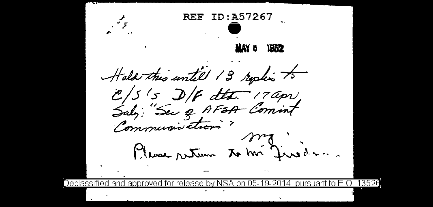ID: A57267 REF **MAY 6** riy Hala this until 13 replis to Please return to the Junedan. approved for release by NSA on 05-19-2014 pursuant to E.O. 13526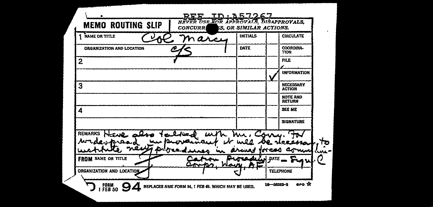